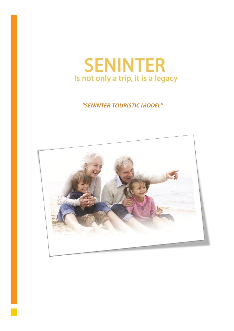

# *"SENINTER TOURISTIC MODEL"*

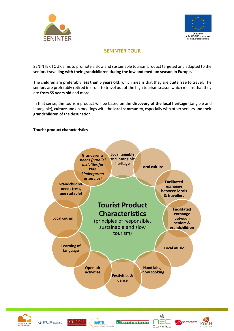



## **SENINTER TOUR**

SENINTER TOUR aims to promote a slow and sustainable tourism product targeted and adapted to the **seniors travelling with their grandchildren** during **the low and medium season in Europe.**

The children are preferably **less than 6 years old**, which means that they are quite free to travel. The **seniors** are preferably retired in order to travel out of the high tourism season which means that they are **from 55 years old** and more.

In that sense, the tourism product will be based on the **discovery of the local heritage** (tangible and intangible), **culture** and on meetings with the **local community**, especially with other seniors and their **grandchildren** of the destination.

#### **Tourist product characteristics**













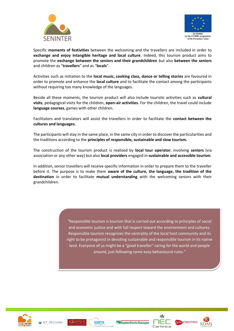



Specific **moments of festivities** between the welcoming and the travellers are included in order to **exchange and enjoy intangible heritage and local culture**. Indeed, this tourism product aims to promote the **exchange between the seniors and their grandchildren** but also **between the seniors** and children as "**travellers**" and as "**locals**".

Activities such as initiation to the **local music, cooking class, dance or telling stories** are favoured in order to promote and enhance the **local culture** and to facilitate the contact among the participants without requiring too many knowledge of the languages.

Beside all these moments, the tourism product will also include touristic activities such as **cultural visits**, pedagogical visits for the children, **open-air activities**. For the children, the travel could include **language courses**, games with other children.

Facilitators and translators will assist the travellers in order to facilitate the **contact between the cultures and languages.** 

The participants will stay in the same place, in the same city in order to discover the particularities and the traditions according to the **principles of responsible, sustainable and slow tourism.** 

The construction of the tourism product is realised by **local tour operator**, involving **seniors** (via association or any other way) but also **local providers** engaged in **sustainable and accessible tourism**.

In addition, senior travellers will receive specific information in order to prepare them to the traveller before it. The purpose is to make them **aware of the culture, the language, the tradition of the destination** in order to facilitate **mutual understanding** with the welcoming seniors with their grandchildren.

> "Responsible tourism is tourism that is carried out according to principles of social and economic justice and with full respect toward the environment and cultures. Responsible tourism recognizes the centrality of the local host community and its right to be protagonist in devoting sustainable and responsible tourism in its native land. Everyone of us might be a "good traveller" caring for the world and people around, just following some easy behavioural rules."









Regione Emilia-Romagna



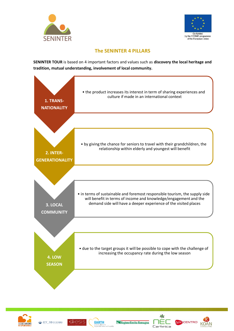



## **The SENINTER 4 PILLARS**

**SENINTER TOUR** is based on 4 important factors and values such as **discovery the local heritage and tradition, mutual understanding, involvement of local community.**









RGOCENTRO

KOAN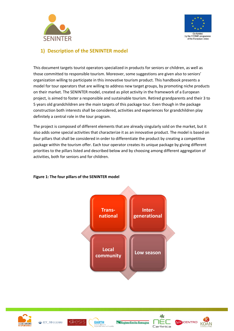



## **1) Description of the SENINTER model**

This document targets tourist operators specialized in products for seniors or children, as well as those committed to responsible tourism. Moreover, some suggestions are given also to seniors' organization willing to participate in this innovative tourism product. This handbook presents a model for tour operators that are willing to address new target groups, by promoting niche products on their market. The SENINTER model, created as pilot activity in the framework of a European project, is aimed to foster a responsible and sustainable tourism. Retired grandparents and their 3 to 5 years old grandchildren are the main targets of this package tour. Even though in the package construction both interests shall be considered, activities and experiences for grandchildren play definitely a central role in the tour program.

The project is composed of different elements that are already singularly sold on the market, but it also adds some special activities that characterize it as an innovative product. The model is based on four pillars that shall be considered in order to differentiate the product by creating a competitive package within the tourism offer. Each tour operator creates its unique package by giving different priorities to the pillars listed and described below and by choosing among different aggregation of activities, both for seniors and for children.



#### **Figure 1: The four pillars of the SENINTER model**













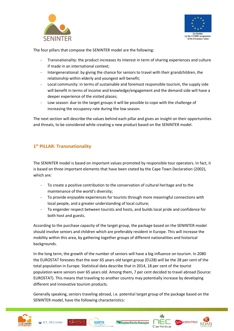



The four pillars that compose the SENINTER model are the following:

- Transnationality: the product increases its interest in term of sharing experiences and culture if made in an international context;
- Intergenerational: by giving the chance for seniors to travel with their grandchildren, the relationship within elderly and youngest will benefit;
- Local community: in terms of sustainable and foremost responsible tourism, the supply side will benefit in terms of income and knowledge/engagement and the demand side will have a deeper experience of the visited places;
- Low season: due to the target groups it will be possible to cope with the challenge of increasing the occupancy rate during the low season.

The next section will describe the values behind each pillar and gives an insight on their opportunities and threats, to be considered while creating a new product based on the SENINTER model.

## **1 st PILLAR: Transnationality**

The SENINTER model is based on important values promoted by responsible tour operators. In fact, it is based on three important elements that have been stated by the Cape Town Declaration (2002), which are:

- To create a positive contribution to the conservation of cultural heritage and to the maintenance of the world's diversity;
- To provide enjoyable experiences for tourists through more meaningful connections with local people, and a greater understanding of local culture;
- To engender respect between tourists and hosts, and builds local pride and confidence for both host and guests.

According to the purchase capacity of the target group, the package based on the SENINTER model should involve seniors and children which are preferably resident in Europe. This will increase the mobility within this area, by gathering together groups of different nationalities and historical backgrounds.

In the long term, the growth of the number of seniors will have a big influence on tourism. In 2080 the EUROSTAT foresees that the over 65 years old target group (EU28) will be the 28 per cent of the total population in Europe. Statistical data describe that in 2014, 18 per cent of the tourist population were seniors over 65 years old. Among them, 7 per cent decided to travel abroad (Source: EUROSTAT). This means that traveling to another country may potentially increase by developing different and innovative tourism products.

Generally speaking, seniors traveling abroad, i.e. potential target group of the package based on the SENINTER model, have the following characteristics:











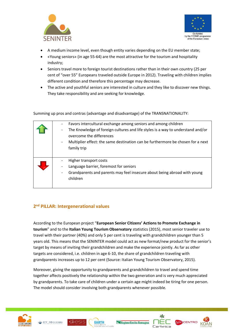



- A medium income level, even though entity varies depending on the EU member state;
- «Young seniors» (in age 55-64) are the most attractive for the tourism and hospitality industry;
- Seniors travel more to foreign tourist destinations rather than in their own country (25 per cent of "over 55" Europeans traveled outside Europe in 2012). Traveling with children implies different condition and therefore this percentage may decrease.
- The active and youthful seniors are interested in culture and they like to discover new things. They take responsibility and are seeking for knowledge.

Summing up pros and contras (advantage and disadvantage) of the TRANSNATIONALITY:

| Favors intercultural exchange among seniors and among children<br>The Knowledge of foreign cultures and life styles is a way to understand and/or<br>overcome the differences<br>Multiplier effect: the same destination can be furthermore be chosen for a next<br>family trip |
|---------------------------------------------------------------------------------------------------------------------------------------------------------------------------------------------------------------------------------------------------------------------------------|
| Higher transport costs<br>Language barrier, foremost for seniors<br>Grandparents and parents may feel insecure about being abroad with young<br>children                                                                                                                        |

## **2 nd PILLAR: Intergenerational values**

According to the European project "**European Senior Citizens' Actions to Promote Exchange in tourism**" and to the **Italian Young Tourism Observatory** statistics (2015), most senior traveler use to travel with their partner (40%) and only 5 per cent is traveling with grandchildren younger than 5 years old. This means that the SENINTER model could act as new format/new product for the senior's target by means of inviting their grandchildren and make the experience jointly. As far as other targets are considered, i.e. children in age 6-10, the share of grandchildren traveling with grandparents increases up to 12 per cent (Source: Italian Young Tourism Observatory, 2015).

Moreover, giving the opportunity to grandparents and grandchildren to travel and spend time together affects positively the relationship within the two generation and is very much appreciated by grandparents. To take care of children under a certain age might indeed be tiring for one person. The model should consider involving both grandparents whenever possible.











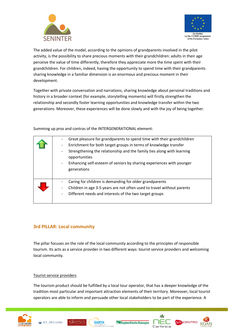



The added value of the model, according to the opinions of grandparents involved in the pilot activity, is the possibility to share precious moments with their grandchildren: adults in their age perceive the value of time differently, therefore they appreciate more the time spent with their grandchildren. For children, indeed, having the opportunity to spend time with their grandparents sharing knowledge in a familiar dimension is an enormous and precious moment in their development.

Together with private conversation and narrations, sharing knowledge about personal traditions and history in a broader context (for example, storytelling moments) will firstly strengthen the relationship and secondly foster learning opportunities and knowledge transfer within the two generations. Moreover, these experiences will be done slowly and with the joy of being together.

Summing up pros and contras of the INTERGENERATIONAL element:

|  | Great pleasure for grandparents to spend time with their grandchildren                  |
|--|-----------------------------------------------------------------------------------------|
|  | Enrichment for both target groups in terms of knowledge transfer                        |
|  | Strengthening the relationship and the family ties along with learning<br>opportunities |
|  | Enhancing self-esteem of seniors by sharing experiences with younger                    |
|  | generations                                                                             |
|  |                                                                                         |
|  | Caring for children is demanding for older grandparents                                 |
|  | Children in age 3-5 years are not often used to travel without parents                  |
|  | Different needs and interests of the two target groups                                  |
|  |                                                                                         |

## **3rd PILLAR: Local community**

The pillar focuses on the role of the local community according to the principles of responsible tourism. Its acts as a service provider in two different ways: tourist service providers and welcoming local community.

#### Tourist service providers

The tourism product should be fulfilled by a local tour operator, that has a deeper knowledge of the tradition most particular and important attraction elements of their territory. Moreover, local tourist operators are able to inform and persuade other local stakeholders to be part of the experience. A









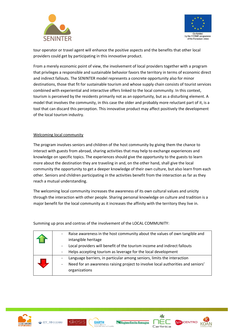



tour operator or travel agent will enhance the positive aspects and the benefits that other local providers could get by participating in this innovative product.

From a merely economic point of view, the involvement of local providers together with a program that privileges a responsible and sustainable behavior favors the territory in terms of economic direct and indirect fallouts. The SENINTER model represents a concrete opportunity also for minor destinations, those that fit for sustainable tourism and whose supply chain consists of tourist services combined with experiential and interactive offers linked to the local community. In this context, tourism is perceived by the residents primarily not as an opportunity, but as a disturbing element. A model that involves the community, in this case the older and probably more reluctant part of it, is a tool that can discard this perception. This innovative product may affect positively the development of the local tourism industry.

#### Welcoming local community

The program involves seniors and children of the host community by giving them the chance to interact with guests from abroad, sharing activities that may help to exchange experiences and knowledge on specific topics. The experiences should give the opportunity to the guests to learn more about the destination they are traveling in and, on the other hand, shall give the local community the opportunity to get a deeper knowledge of their own culture, but also learn from each other. Seniors and children participating in the activities benefit from the interaction as far as they reach a mutual understanding.

The welcoming local community increases the awareness of its own cultural values and unicity through the interaction with other people. Sharing personal knowledge on culture and tradition is a major benefit for the local community as it increases the affinity with the territory they live in.

| Raise awareness in the host community about the values of own tangible and<br>intangible heritage<br>Local providers will benefit of the tourism income and indirect fallouts<br>Helps accepting tourism as leverage for the local development |
|------------------------------------------------------------------------------------------------------------------------------------------------------------------------------------------------------------------------------------------------|
| Language barriers, in particular among seniors, limits the interaction<br>Need for an awareness raising project to involve local authorities and seniors'<br>organizations                                                                     |

Summing up pros and contras of the involvement of the LOCAL COMMUNITY:









RGOCENTRO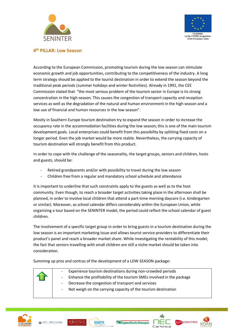



#### **4 th PILLAR: Low Season**

According to the European Commission, promoting tourism during the low season can stimulate economic growth and job opportunities, contributing to the competitiveness of the industry. A long term strategy should be applied to the tourist destination in order to extend the season beyond the traditional peak periods (summer holidays and winter festivities). Already in 1991, the CEE Commission stated that "the most serious problem of the tourism sector in Europe is its strong concentration in the high season. This causes the congestion of transport capacity and reception services as well as the degradation of the natural and human environment in the high season and a low use of financial and human resources in the low season".

Mostly in Southern Europe tourism destination try to expand the season in order to increase the occupancy rate in the accommodation facilities during the low season; this is one of the main tourism development goals. Local enterprises could benefit from this possibility by splitting fixed costs on a longer period. Even the job market would be more stable. Nevertheless, the carrying capacity of tourism destination will strongly benefit from this product.

In order to cope with the challenge of the seasonality, the target groups, seniors and children, hosts and guests, should be:

- Retired grandparents and/or with possibility to travel during the low season
- Children free from a regular and mandatory school schedule and attendance

It is important to underline that such constraints apply to the guests as well as to the host community. Even though, to reach a broader target activities taking place in the afternoon shall be planned, in order to involve local children that attend a part-time morning daycare (i.e. kindergarten or similar). Moreover, as school calendar differs considerably within the European Union, while organizing a tour based on the SENINTER model, the period could reflect the school calendar of guest children.

The involvement of a specific target group in order to bring guests in a tourism destination during the low season is an important marketing issue and allows tourist service providers to differentiate their product's panel and reach a broader market share. While investigating the rentability of this model, the fact that seniors travelling with small children are still a niche market should be taken into consideration.

Summing up pros and contras of the development of a LOW SEASON package:



- Experience tourism destinations during non-crowded periods
- Enhance the profitability of the tourism SMEs involved in the package
- Decrease the congestion of transport and services
- Not weigh on the carrying capacity of the tourism destination











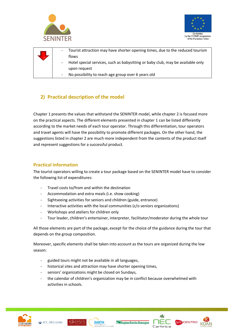



| Tourist attraction may have shorter opening times, due to the reduced tourism   |
|---------------------------------------------------------------------------------|
| flows                                                                           |
| Hotel special services, such as babysitting or baby club, may be available only |
| upon request                                                                    |
| No possibility to reach age group over 6 years old                              |

## **2) Practical description of the model**

Chapter 1 presents the values that withstand the SENINTER model, while chapter 2 is focused more on the practical aspects. The different elements presented in chapter 1 can be listed differently according to the market needs of each tour operator. Through this differentiation, tour operators and travel agents will have the possibility to promote different packages. On the other hand, the suggestions listed in chapter 2 are much more independent from the contents of the product itself and represent suggestions for a successful product.

## **Practical information**

The tourist operators willing to create a tour package based on the SENINTER model have to consider the following list of expenditures:

- Travel costs to/from and within the destination
- Accommodation and extra meals (i.e. show cooking)
- Sightseeing activities for seniors and children (guide, entrance)
- Interactive activities with the local communities (c/o seniors organizations)
- Workshops and ateliers for children only
- Tour leader, children's entertainer, interpreter, facilitator/moderator during the whole tour

All those elements are part of the package, except for the choice of the guidance during the tour that depends on the group composition.

Moreover, specific elements shall be taken into account as the tours are organized during the low season:

- guided tours might not be available in all languages,
- historical sites and attraction may have shorter opening times,
- seniors' organizations might be closed on Sundays,
- the calendar of children's organization may be in conflict because overwhelmed with activities in schools.











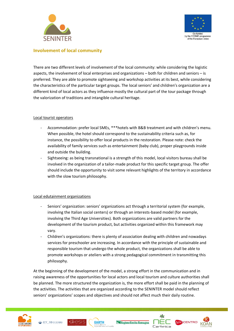



#### **Involvement of local community**

There are two different levels of involvement of the local community: while considering the logistic aspects, the involvement of local enterprises and organizations – both for children and seniors – is preferred. They are able to promote sightseeing and workshop activities at its best, while considering the characteristics of the particular target groups. The local seniors' and children's organization are a different kind of local actors as they influence mostly the cultural part of the tour package through the valorization of traditions and intangible cultural heritage.

#### Local tourist operators

- Accommodation: prefer local SMEs, \*\*\*hotels with B&B treatment and with children's menu. When possible, the hotel should correspond to the sustainability criteria such as, for instance, the possibility to offer local products in the restoration. Please note: check the availability of family services such as entertainment (baby club), proper playgrounds inside and outside the building.
- Sightseeing: as being transnational is a strength of this model, local visitors bureau shall be involved in the organization of a tailor-made product for this specific target group. The offer should include the opportunity to visit some relevant highlights of the territory in accordance with the slow tourism philosophy.

#### Local edutainment organizations

- Seniors' organization: seniors' organizations act through a territorial system (for example, involving the Italian social centers) or through an interests-based model (for example, involving the Third Age Universities). Both organizations are valid partners for the development of the tourism product, but activities organized within this framework may vary.
- Children's organizations: there is plenty of association dealing with children and nowadays services for preschooler are increasing. In accordance with the principle of sustainable and responsible tourism that undergo the whole product, the organizations shall be able to promote workshops or ateliers with a strong pedagogical commitment in transmitting this philosophy.

At the beginning of the development of the model, a strong effort in the communication and in raising awareness of the opportunities for local actors and local tourism and culture authorities shall be planned. The more structured the organization is, the more effort shall be paid in the planning of the activities. The activities that are organized according to the SENINTER model should reflect seniors' organizations' scopes and objectives and should not affect much their daily routine.











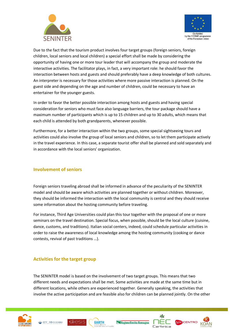



Due to the fact that the tourism product involves four target groups (foreign seniors, foreign children, local seniors and local children) a special effort shall be made by considering the opportunity of having one or more tour leader that will accompany the group and moderate the interactive activities. The facilitator plays, in fact, a very important role: he should favor the interaction between hosts and guests and should preferably have a deep knowledge of both cultures. An interpreter is necessary for those activities where more passive interaction is planned. On the guest side and depending on the age and number of children, could be necessary to have an entertainer for the younger guests.

In order to favor the better possible interaction among hosts and guests and having special consideration for seniors who must face also language barriers, the tour package should have a maximum number of participants which is up to 15 children and up to 30 adults, which means that each child is attended by both grandparents, whenever possible.

Furthermore, for a better interaction within the two groups, some special sightseeing tours and activities could also involve the group of local seniors and children, so to let them participate actively in the travel experience. In this case, a separate tourist offer shall be planned and sold separately and in accordance with the local seniors' organization.

## **Involvement of seniors**

Foreign seniors traveling abroad shall be informed in advance of the peculiarity of the SENINTER model and should be aware which activities are planned together or without children. Moreover, they should be informed the interaction with the local community is central and they should receive some information about the hosting community before traveling.

For instance, Third Age Universities could plan this tour together with the proposal of one or more seminars on the travel destination. Special focus, when possible, should be the local culture (cuisine, dance, customs, and traditions). Italian social centers, indeed, could schedule particular activities in order to raise the awareness of local knowledge among the hosting community (cooking or dance contests, revival of past traditions …).

## **Activities for the target group**

The SENINTER model is based on the involvement of two target groups. This means that two different needs and expectations shall be met. Some activities are made at the same time but in different locations, while others are experienced together. Generally speaking, the activities that involve the active participation and are feasible also for children can be planned jointly. On the other









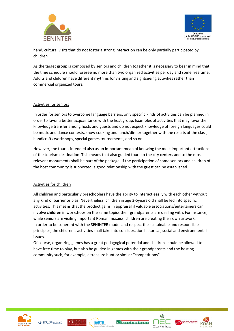



hand, cultural visits that do not foster a strong interaction can be only partially participated by children.

As the target group is composed by seniors and children together it is necessary to bear in mind that the time schedule should foresee no more than two organized activities per day and some free time. Adults and children have different rhythms for visiting and sightseeing activities rather than commercial organized tours.

#### Activities for seniors

In order for seniors to overcome language barriers, only specific kinds of activities can be planned in order to favor a better acquaintance with the host group. Examples of activities that may favor the knowledge transfer among hosts and guests and do not expect knowledge of foreign languages could be music and dance contests, show cooking and lunch/dinner together with the results of the class, handicrafts workshops, special games tournaments, and so on.

However, the tour is intended also as an important mean of knowing the most important attractions of the tourism destination. This means that also guided tours to the city centers and to the most relevant monuments shall be part of the package. If the participation of some seniors and children of the host community is supported, a good relationship with the guest can be established.

#### Activities for children

All children and particularly preschoolers have the ability to interact easily with each other without any kind of barrier or bias. Nevertheless, children in age 3-5years old shall be led into specific activities. This means that the product gains in appraisal if valuable associations/entertainers can involve children in workshops on the same topics their grandparents are dealing with. For instance, while seniors are visiting important Roman mosaics, children are creating their own artwork. In order to be coherent with the SENINTER model and respect the sustainable and responsible principles, the children's activities shall take into consideration historical, social and environmental issues.

Of course, organizing games has a great pedagogical potential and children should be allowed to have free time to play, but also be guided in games with their grandparents and the hosting community such, for example, a treasure hunt or similar "competitions".











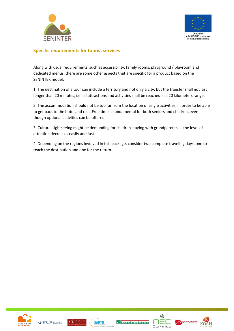



### **Specific requirements for tourist services**

Along with usual requirements, such as accessibility, family rooms, playground / playroom and dedicated menus, there are some other aspects that are specific for a product based on the SENINTER model.

1. The destination of a tour can include a territory and not only a city, but the transfer shall not last longer than 20 minutes, i.e. all attractions and activities shall be reached in a 20 kilometers range.

2. The accommodation should not be too far from the location of single activities, in order to be able to get back to the hotel and rest. Free time is fundamental for both seniors and children, even though optional activities can be offered.

3. Cultural sightseeing might be demanding for children staying with grandparents as the level of attention decreases easily and fast.

4. Depending on the regions involved in this package, consider two complete traveling days, one to reach the destination and one for the return.









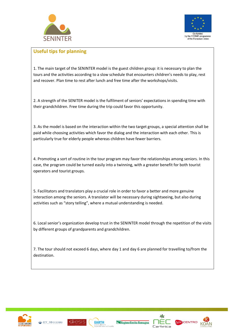



## **Useful tips for planning**

1. The main target of the SENINTER model is the guest children group: it is necessary to plan the tours and the activities according to a slow schedule that encounters children's needs to play, rest and recover. Plan time to rest after lunch and free time after the workshops/visits.

2. A strength of the SENITER model is the fulfilment of seniors' expectations in spending time with their grandchildren. Free time during the trip could favor this opportunity.

3. As the model is based on the interaction within the two target groups, a special attention shall be paid while choosing activities which favor the dialog and the interaction with each other. This is particularly true for elderly people whereas children have fewer barriers.

4. Promoting a sort of routine in the tour program may favor the relationships among seniors. In this case, the program could be turned easily into a twinning, with a greater benefit for both tourist operators and tourist groups.

5. Facilitators and translators play a crucial role in order to favor a better and more genuine interaction among the seniors. A translator will be necessary during sightseeing, but also during activities such as "story telling", where a mutual understanding is needed.

6. Local senior's organization develop trust in the SENINTER model through the repetition of the visits by different groups of grandparents and grandchildren.

7. The tour should not exceed 6 days, where day 1 and day 6 are planned for travelling to/from the destination.











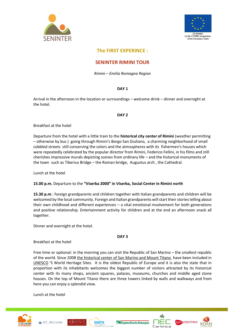



## **The FIRST EXPERINCE :**

#### **SENINTER RIMINI TOUR**

*Rimini – Emilia Romagna Region*

#### **DAY 1**

Arrival in the afternoon in the location or surroundings – welcome drink – dinner and overnight at the hotel.

#### **DAY 2**

Breakfast at the hotel

Departure from the hotel with a little train to the **historical city center of Rimini** (weather permitting – otherwise by bus ) going through Rimini's Borgo San Giuliano, a charming neighborhood of small cobbled streets still conserving the colors and the atmospheres with its fishermen's houses which were repeatedly celebrated by the popular director from Rimini, Federico Fellini, in his films and still cherishes impressive murals depicting scenes from ordinary life – and the historical monuments of the town such as Tiberius Bridge – the Roman bridge, Augustus arch , the Cathedral.

Lunch at the hotel

#### **15.00 p.m.** Departure to the **"Viserba 2000" in Viserba, Social Center in Rimini north**

**15.30 p.m**.: foreign grandparents and children together with Italian grandparents and children will be welcomed by the local community. Foreign and Italian grandparents will start their stories telling about their own childhood and different experiences – a vital emotional involvement for both generations and positive relationship. Entertainment activity for children and at the end an afternoon snack all together.

Dinner and overnight at the hotel.

**DAY 3**

Breakfast at the hotel

Free time or optional: in the morning you can visit the Republic of San Marino – the smallest republic of the world. Since 2008 [the historical center of San Marino and Mount Titano](http://it.wikipedia.org/wiki/Citt%C3%A0_di_San_Marino) have been included in [UNESCO](http://www.unesco.it/cni/) 'S World Heritage Sites. It is the oldest Republic of Europe and it is also the state that in proportion with its inhabitants welcomes the biggest number of visitors attracted by its historical center with its many shops, ancient squares, palaces, museums, churches and middle aged stone houses. On the top of Mount Titano there are three towers linked by walls and walkways and from here you can enjoy a splendid view.

Lunch at the hotel











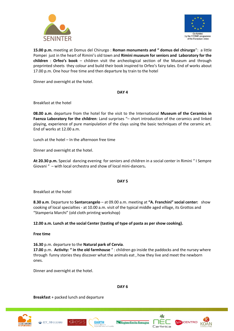



**15.00 p.m.** meeting at Domus del Chirurgo : **Roman monuments and " domus del chirurgo**": a little Pompei just in the heart of Rimini's old town and **Rimini museum for seniors and Laboratory for the children** : **Orfeo's book** – children visit the archeological section of the Museum and through preprinted sheets they colour and build their book inspired to Orfeo's fairy tales. End of works about 17.00 p.m. One hour free time and then departure by train to the hotel

Dinner and overnight at the hotel.

**DAY 4** 

Breakfast at the hotel

**08.00 a.m**. departure from the hotel for the visit to the International **Museum of the Ceramics in Faenza Laboratory for the children**: Land surprises "– short introduction of the ceramics and linked playing, experience of pure manipulation of the clays using the basic techniques of the ceramic art. End of works at 12.00 a.m.

Lunch at the hotel – In the afternoon free time

Dinner and overnight at the hotel.

**At 20.30 p.m.** Special dancing evening for seniors and children in a social center in Rimini " I Sempre Giovani " – with local orchestra and show of local mini-dancers**.**

**DAY 5** 

Breakfast at the hotel

**8.30 a.m**. Departure to **Santarcangelo** – at 09.00 a.m. meeting at **"A. Franchini" social center:** show cooking of local specialties - at 10.00 a.m. visit of the typical middle aged village, its Grottos and "Stamperia Marchi" (old cloth printing workshop)

**12.00 a.m. Lunch at the social Center (tasting of type of pasta as per show cooking).**

**Free time** 

**16.30** p.m. departure to the **Natural park of Cervia**.

**17.00** p.m. **Activity: " in the old farmhouse** " : children go inside the paddocks and the nursey where through funny stories they discover what the animals eat , how they live and meet the newborn ones.

Dinner and overnight at the hotel.

**DAY 6**

**Breakfast** + packed lunch and departure











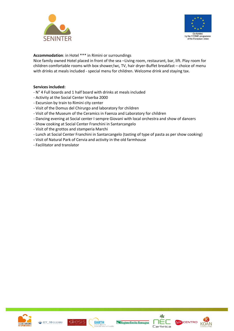



**Accommodation**: in Hotel \*\*\* in Rimini or surroundings

Nice family owned Hotel placed in front of the sea –Living room, restaurant, bar, lift. Play room for children comfortable rooms with box shower/wc, TV, hair dryer-Buffet breakfast – choice of menu with drinks at meals included - special menu for children. Welcome drink and staying tax.

#### **Services included:**

- N° 4 Full boards and 1 half board with drinks at meals included
- Activity at the Social Center Viserba 2000
- Excursion by train to Rimini city center
- Visit of the Domus del Chirurgo and laboratory for children
- Visit of the Museum of the Ceramics in Faenza and Laboratory for children
- Dancing evening at Social center I sempre Giovani with local orchestra and show of dancers
- Show cooking at Social Center Franchini in Santarcangelo
- Visit of the grottos and stamperia Marchi
- Lunch at Social Center Franchini in Santarcangelo (tasting of type of pasta as per show cooking)
- **-** Visit of Natural Park of Cervia and activity in the old farmhouse
- Facilitator and translator











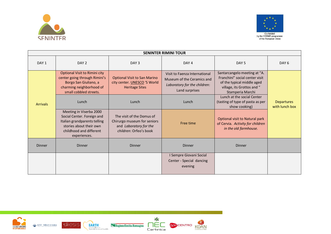



| <b>SENINTER RIMINI TOUR</b> |                                                                                                                                                             |                                                                                                              |                                                                                                               |                                                                                                                                                |                                     |  |
|-----------------------------|-------------------------------------------------------------------------------------------------------------------------------------------------------------|--------------------------------------------------------------------------------------------------------------|---------------------------------------------------------------------------------------------------------------|------------------------------------------------------------------------------------------------------------------------------------------------|-------------------------------------|--|
| DAY <sub>1</sub>            | DAY <sub>2</sub>                                                                                                                                            | DAY <sub>3</sub>                                                                                             | DAY <sub>4</sub>                                                                                              | DAY <sub>5</sub>                                                                                                                               | DAY <sub>6</sub>                    |  |
| <b>Arrivals</b>             | <b>Optional Visit to Rimini city</b><br>center going through Rimini's<br>Borgo San Giuliano, a<br>charming neighborhood of<br>small cobbled streets.        | <b>Optional Visit to San Marino</b><br>city center. <b>UNESCO</b> 'S World<br><b>Heritage Sites</b>          | Visit to Faenza International<br>Museum of the Ceramics and<br>Laboratory for the children:<br>Land surprises | Santarcangelo meeting at "A.<br>Franchini" social center visit<br>of the typical middle aged<br>village, its Grottos and "<br>Stamperia Marchi |                                     |  |
|                             | Lunch                                                                                                                                                       | Lunch                                                                                                        | Lunch                                                                                                         | Lunch at the social Center<br>(tasting of type of pasta as per<br>show cooking)                                                                | <b>Departures</b><br>with lunch box |  |
|                             | Meeting in Viserba 2000<br>Social Center. Foreign and<br>Italian grandparents telling<br>stories about their own<br>childhood and different<br>experiences. | The visit of the Domus of<br>Chirurgo museum for seniors<br>and Laboratory for the<br>children: Orfeo's book | Free time                                                                                                     | Optional visit to Natural park<br>of Cervia. Activity for children<br>in the old farmhouse.                                                    |                                     |  |
| <b>Dinner</b>               | <b>Dinner</b>                                                                                                                                               | Dinner                                                                                                       | Dinner                                                                                                        | Dinner                                                                                                                                         |                                     |  |
|                             |                                                                                                                                                             |                                                                                                              | I Sempre Giovani Social<br>Center - Special dancing<br>evening                                                |                                                                                                                                                |                                     |  |

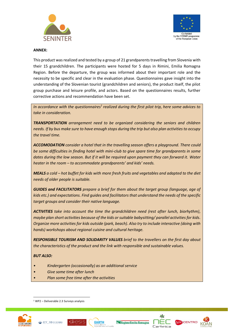



#### **ANNEX:**

This product was realized and tested by a group of 21 grandparents travelling from Slovenia with their 15 grandchildren. The participants were hosted for 5 days in Rimini, Emilia Romagna Region. Before the departure, the group was informed about their important role and the necessity to be specific and clear in the evaluation phase. Questionnaires gave insight into the understanding of the Slovenian tourist (grandchildren and seniors), the product itself, the pilot group purchase and leisure profile, and actors. Based on the questionnaires results, further corrective actions and recommendation have been set.

In accordance with the questionnaires<sup>1</sup> realized during the first pilot trip, here some advices to *take in consideration.*

*TRANSPORTATION arrangement need to be organized considering the seniors and children needs. If by bus make sure to have enough stops during the trip but also plan activities to occupy the travel time.*

*ACCOMODATION consider a hotel that in the travelling season offers a playground. There could be some difficulties in finding hotel with mini-club to give spare time for grandparents in some dates during the low season. But if it will be required upon payment they can forward it. Water heater in the room – to accommodate grandparents' and kids' needs.*

*MEALS a cold – hot buffet for kids with more fresh fruits and vegetables and adapted to the diet needs of older people is suitable.*

*GUIDES and FACILITATORS prepare a brief for them about the target group (language, age of kids etc.) and expectations. Find guides and facilitators that understand the needs of the specific target groups and consider their native language.*

*ACTIVITIES take into account the time the grandchildren need (rest after lunch, biorhythm), maybe plan short activities because of the kids or suitable babysitting/ parallel activities for kids. Organize more activities for kids outside (park, beach). Also try to include interactive (doing with hands) workshops about regional cuisine and cultural heritage.*

*RESPONSIBLE TOURISM AND SOLIDARITY VALUES brief to the travellers on the first day about the characteristics of the product and the link with responsible and sustainable values.* 

#### *BUT ALSO:*

- *• Kindergarten (occasionally) as an additional service*
- *• Give some time after lunch*
- *• Plan some free time after the activities*

<sup>1</sup> WP2 – Deliverable 2.3 Surveys analysis



1









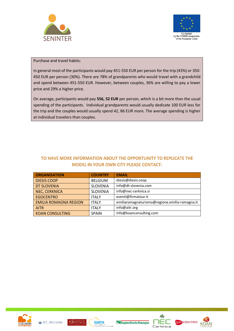



#### Purchase and travel habits:

In general most of the participants would pay 451-550 EUR per person for the trip (43%) or 350- 450 EUR per person (30%). There are 78% of grandparents who would travel with a grandchild and spend between 451-550 EUR. However, between couples, 36% are willing to pay a lower price and 29% a higher price.

On average, participants would pay **556, 52 EUR** per person, which is a bit more than the usual spending of the participants. Individual grandparents would usually dedicate 100 EUR less for the trip and the couples would usually spend 42, 86 EUR more. The average spending is higher at individual travelers than couples.

## TO HAVE MORE INFORMATION ABOUT THE OPPORTUNITY TO REPLICATE THE **MODEL IN YOUR OWN CITY PLEASE CONTACT:**

| <b>ORGANISATION</b>          | <b>COUNTRY</b>  | <b>EMAIL</b>                                   |
|------------------------------|-----------------|------------------------------------------------|
| <b>DIESIS COOP</b>           | <b>BELGIUM</b>  | diesis@diesis.coop                             |
| DT SLOVENIA                  | <b>SLOVENIA</b> | info@dt-slovenia.com                           |
| <b>NEC, CERKNICA</b>         | <b>SLOVENIA</b> | info@nec-cerknica.si                           |
| <b>EGOCENTRO</b>             | <b>ITALY</b>    | eventi@firmatour.it                            |
| <b>EMILIA ROMAGNA REGION</b> | <b>ITALY</b>    | emiliaromagnaturismo@regione.emilia-romagna.it |
| <b>AITR</b>                  | <b>ITALY</b>    | info@aitr.org                                  |
| <b>KOAN CONSULTING</b>       | <b>SPAIN</b>    | info@koanconsulting.com                        |